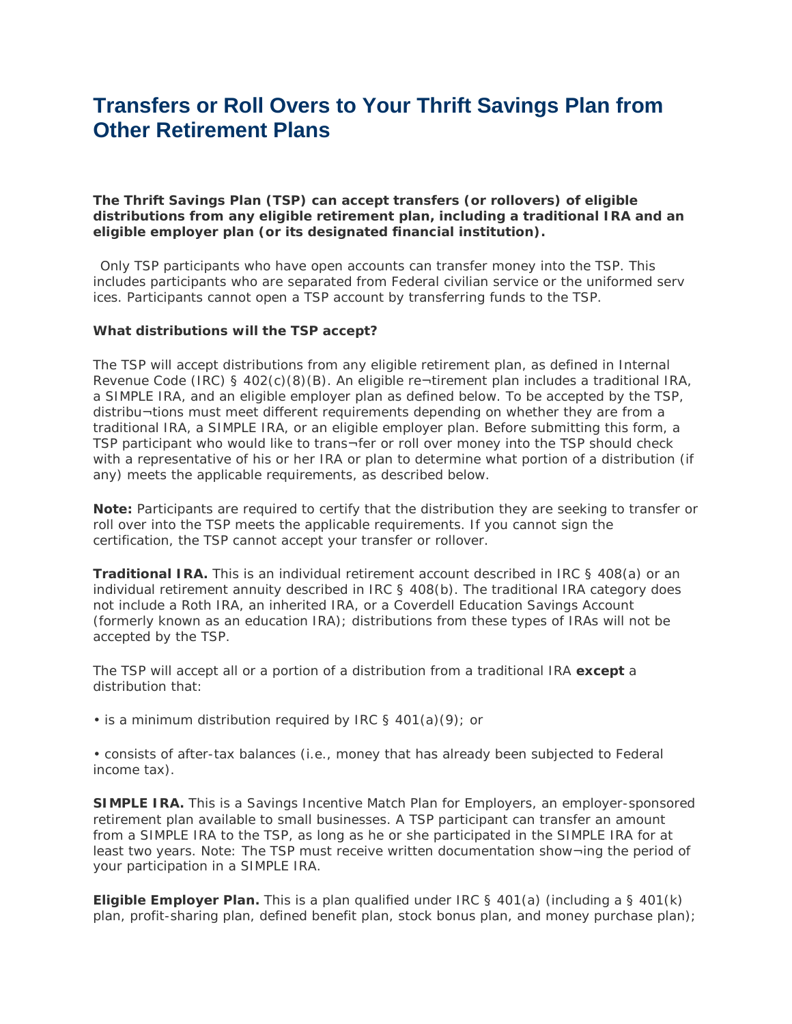# **Transfers or Roll Overs to Your Thrift Savings Plan from Other Retirement Plans**

**The Thrift Savings Plan (TSP) can accept transfers (or rollovers) of eligible distributions from any eligible retirement plan, including a traditional IRA and an eligible employer plan (or its designated financial institution).** 

Only TSP participants who have open accounts can transfer money into the TSP. This includes participants who are separated from Federal civilian service or the uniformed serv ices. Participants cannot open a TSP account by transferring funds to the TSP.

#### **What distributions will the TSP accept?**

The TSP will accept distributions from any eligible retirement plan, as defined in Internal Revenue Code (IRC) § 402(c)(8)(B). An eligible re¬tirement plan includes a traditional IRA, a SIMPLE IRA, and an eligible employer plan as defined below. To be accepted by the TSP, distribu¬tions must meet different requirements depending on whether they are from a traditional IRA, a SIMPLE IRA, or an eligible employer plan. Before submitting this form, a TSP participant who would like to trans¬fer or roll over money into the TSP should check with a representative of his or her IRA or plan to determine what portion of a distribution (if any) meets the applicable requirements, as described below.

**Note:** Participants are required to certify that the distribution they are seeking to transfer or roll over into the TSP meets the applicable requirements. If you cannot sign the certification, the TSP cannot accept your transfer or rollover.

**Traditional IRA.** This is an individual retirement account described in IRC § 408(a) or an individual retirement annuity described in IRC § 408(b). The traditional IRA category does not include a Roth IRA, an inherited IRA, or a Coverdell Education Savings Account (formerly known as an education IRA); distributions from these types of IRAs will not be accepted by the TSP.

The TSP will accept all or a portion of a distribution from a traditional IRA **except** a distribution that:

• is a minimum distribution required by IRC § 401(a)(9); or

• consists of after-tax balances (i.e., money that has already been subjected to Federal income tax).

**SIMPLE IRA.** This is a Savings Incentive Match Plan for Employers, an employer-sponsored retirement plan available to small businesses. A TSP participant can transfer an amount from a SIMPLE IRA to the TSP, as long as he or she participated in the SIMPLE IRA for at least two years. Note: The TSP must receive written documentation show¬ing the period of your participation in a SIMPLE IRA.

**Eligible Employer Plan.** This is a plan qualified under IRC § 401(a) (including a § 401(k) plan, profit-sharing plan, defined benefit plan, stock bonus plan, and money purchase plan);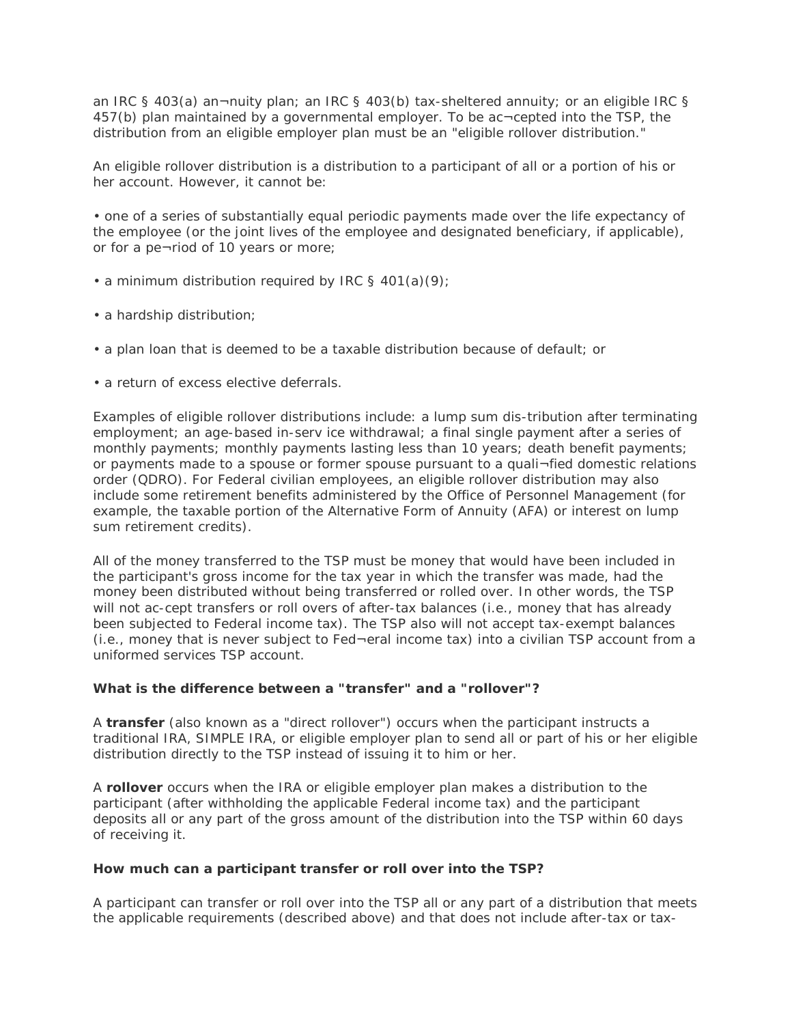an IRC § 403(a) an¬nuity plan; an IRC § 403(b) tax-sheltered annuity; or an eligible IRC § 457(b) plan maintained by a governmental employer. To be ac¬cepted into the TSP, the distribution from an eligible employer plan must be an "eligible rollover distribution."

An eligible rollover distribution is a distribution to a participant of all or a portion of his or her account. However, it cannot be:

• one of a series of substantially equal periodic payments made over the life expectancy of the employee (or the joint lives of the employee and designated beneficiary, if applicable), or for a pe¬riod of 10 years or more;

- a minimum distribution required by IRC § 401(a)(9);
- a hardship distribution;
- a plan loan that is deemed to be a taxable distribution because of default; or
- a return of excess elective deferrals.

Examples of eligible rollover distributions include: a lump sum dis-tribution after terminating employment; an age-based in-serv ice withdrawal; a final single payment after a series of monthly payments; monthly payments lasting less than 10 years; death benefit payments; or payments made to a spouse or former spouse pursuant to a quali¬fied domestic relations order (QDRO). For Federal civilian employees, an eligible rollover distribution may also include some retirement benefits administered by the Office of Personnel Management (for example, the taxable portion of the Alternative Form of Annuity (AFA) or interest on lump sum retirement credits).

All of the money transferred to the TSP must be money that would have been included in the participant's gross income for the tax year in which the transfer was made, had the money been distributed without being transferred or rolled over. In other words, the TSP will not ac-cept transfers or roll overs of after-tax balances (i.e., money that has already been subjected to Federal income tax). The TSP also will not accept tax-exempt balances (i.e., money that is never subject to Fed¬eral income tax) into a civilian TSP account from a uniformed services TSP account.

### **What is the difference between a "transfer" and a "rollover"?**

A **transfer** (also known as a "direct rollover") occurs when the participant instructs a traditional IRA, SIMPLE IRA, or eligible employer plan to send all or part of his or her eligible distribution directly to the TSP instead of issuing it to him or her.

A **rollover** occurs when the IRA or eligible employer plan makes a distribution to the participant (after withholding the applicable Federal income tax) and the participant deposits all or any part of the gross amount of the distribution into the TSP within 60 days of receiving it.

#### **How much can a participant transfer or roll over into the TSP?**

A participant can transfer or roll over into the TSP all or any part of a distribution that meets the applicable requirements (described above) and that does not include after-tax or tax